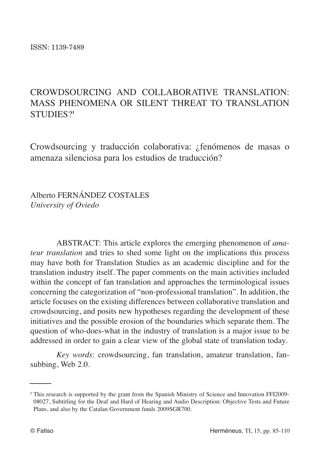# CROWDSOURCING AND COLLABORATIVE TRANSLATION: MASS PHENOMENA OR SILENT THREAT TO TRANSLATION STUDIES?**<sup>1</sup>**

Crowdsourcing y traducción colaborativa: ¿fenómenos de masas o amenaza silenciosa para los estudios de traducción?

Alberto FERNÁNDEZ COSTALES *University of Oviedo*

ABSTRACT: This article explores the emerging phenomenon of *amateur translation* and tries to shed some light on the implications this process may have both for Translation Studies as an academic discipline and for the translation industry itself. The paper comments on the main activities included within the concept of fan translation and approaches the terminological issues concerning the categorization of "non-professional translation". In addition, the article focuses on the existing differences between collaborative translation and crowdsourcing, and posits new hypotheses regarding the development of these initiatives and the possible erosion of the boundaries which separate them. The question of who-does-what in the industry of translation is a major issue to be addressed in order to gain a clear view of the global state of translation today.

*Key words*: crowdsourcing, fan translation, amateur translation, fansubbing, Web 2.0.

<sup>&</sup>lt;sup>1</sup> This research is supported by the grant from the Spanish Ministry of Science and Innovation FFI2009-08027, Subtitling for the Deaf and Hard of Hearing and Audio Description: Objective Tests and Future Plans, and also by the Catalan Government funds 2009SGR700.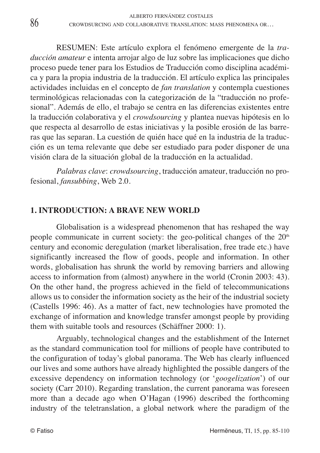RESUMEN: Este artículo explora el fenómeno emergente de la *traducción amateur* e intenta arrojar algo de luz sobre las implicaciones que dicho proceso puede tener para los Estudios de Traducción como disciplina académica y para la propia industria de la traducción. El artículo explica las principales actividades incluidas en el concepto de *fan translation* y contempla cuestiones terminológicas relacionadas con la categorización de la "traducción no profesional". Además de ello, el trabajo se centra en las diferencias existentes entre la traducción colaborativa y el *crowdsourcing* y plantea nuevas hipótesis en lo que respecta al desarrollo de estas iniciativas y la posible erosión de las barreras que las separan. La cuestión de quién hace qué en la industria de la traducción es un tema relevante que debe ser estudiado para poder disponer de una visión clara de la situación global de la traducción en la actualidad.

*Palabras clave*: *crowdsourcing*, traducción amateur, traducción no profesional, *fansubbing*, Web 2.0.

## **1. INTRODUCTION: A BRAVE NEW WORLD**

Globalisation is a widespread phenomenon that has reshaped the way people communicate in current society: the geo-political changes of the  $20<sup>th</sup>$ century and economic deregulation (market liberalisation, free trade etc.) have significantly increased the flow of goods, people and information. In other words, globalisation has shrunk the world by removing barriers and allowing access to information from (almost) anywhere in the world (Cronin 2003: 43). On the other hand, the progress achieved in the field of telecommunications allows us to consider the information society as the heir of the industrial society (Castells 1996: 46). As a matter of fact, new technologies have promoted the exchange of information and knowledge transfer amongst people by providing them with suitable tools and resources (Schäffner 2000: 1).

Arguably, technological changes and the establishment of the Internet as the standard communication tool for millions of people have contributed to the configuration of today's global panorama. The Web has clearly influenced our lives and some authors have already highlighted the possible dangers of the excessive dependency on information technology (or '*googelization*') of our society (Carr 2010). Regarding translation, the current panorama was foreseen more than a decade ago when O'Hagan (1996) described the forthcoming industry of the teletranslation, a global network where the paradigm of the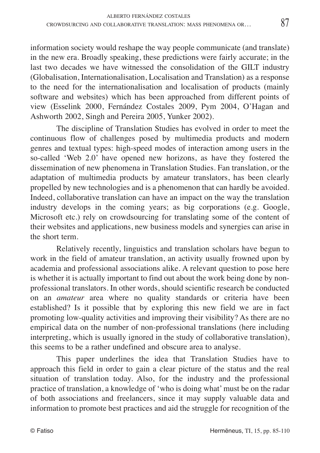information society would reshape the way people communicate (and translate) in the new era. Broadly speaking, these predictions were fairly accurate; in the last two decades we have witnessed the consolidation of the GILT industry (Globalisation, Internationalisation, Localisation and Translation) as a response to the need for the internationalisation and localisation of products (mainly software and websites) which has been approached from different points of view (Esselink 2000, Fernández Costales 2009, Pym 2004, O'Hagan and Ashworth 2002, Singh and Pereira 2005, Yunker 2002).

The discipline of Translation Studies has evolved in order to meet the continuous flow of challenges posed by multimedia products and modern genres and textual types: high-speed modes of interaction among users in the so-called 'Web 2.0' have opened new horizons, as have they fostered the dissemination of new phenomena in Translation Studies. Fan translation, or the adaptation of multimedia products by amateur translators, has been clearly propelled by new technologies and is a phenomenon that can hardly be avoided. Indeed, collaborative translation can have an impact on the way the translation industry develops in the coming years; as big corporations (e.g. Google, Microsoft etc.) rely on crowdsourcing for translating some of the content of their websites and applications, new business models and synergies can arise in the short term.

Relatively recently, linguistics and translation scholars have begun to work in the field of amateur translation, an activity usually frowned upon by academia and professional associations alike. A relevant question to pose here is whether it is actually important to find out about the work being done by nonprofessional translators. In other words, should scientific research be conducted on an *amateur* area where no quality standards or criteria have been established? Is it possible that by exploring this new field we are in fact promoting low-quality activities and improving their visibility? As there are no empirical data on the number of non-professional translations (here including interpreting, which is usually ignored in the study of collaborative translation), this seems to be a rather undefined and obscure area to analyse.

This paper underlines the idea that Translation Studies have to approach this field in order to gain a clear picture of the status and the real situation of translation today. Also, for the industry and the professional practice of translation, a knowledge of 'who is doing what' must be on the radar of both associations and freelancers, since it may supply valuable data and information to promote best practices and aid the struggle for recognition of the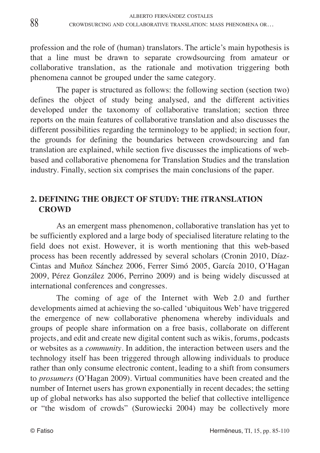profession and the role of (human) translators. The article's main hypothesis is that a line must be drawn to separate crowdsourcing from amateur or collaborative translation, as the rationale and motivation triggering both phenomena cannot be grouped under the same category.

The paper is structured as follows: the following section (section two) defines the object of study being analysed, and the different activities developed under the taxonomy of collaborative translation; section three reports on the main features of collaborative translation and also discusses the different possibilities regarding the terminology to be applied; in section four, the grounds for defining the boundaries between crowdsourcing and fan translation are explained, while section five discusses the implications of webbased and collaborative phenomena for Translation Studies and the translation industry. Finally, section six comprises the main conclusions of the paper.

## **2. DEFINING THE OBJECT OF STUDY: THE iTRANSLATION CROWD**

As an emergent mass phenomenon, collaborative translation has yet to be sufficiently explored and a large body of specialised literature relating to the field does not exist. However, it is worth mentioning that this web-based process has been recently addressed by several scholars (Cronin 2010, Díaz-Cintas and Muñoz Sánchez 2006, Ferrer Simó 2005, García 2010, O'Hagan 2009, Pérez González 2006, Perrino 2009) and is being widely discussed at international conferences and congresses.

The coming of age of the Internet with Web 2.0 and further developments aimed at achieving the so-called 'ubiquitous Web' have triggered the emergence of new collaborative phenomena whereby individuals and groups of people share information on a free basis, collaborate on different projects, and edit and create new digital content such as wikis, forums, podcasts or websites as a *community*. In addition, the interaction between users and the technology itself has been triggered through allowing individuals to produce rather than only consume electronic content, leading to a shift from consumers to *prosumers* (O'Hagan 2009). Virtual communities have been created and the number of Internet users has grown exponentially in recent decades; the setting up of global networks has also supported the belief that collective intelligence or "the wisdom of crowds" (Surowiecki 2004) may be collectively more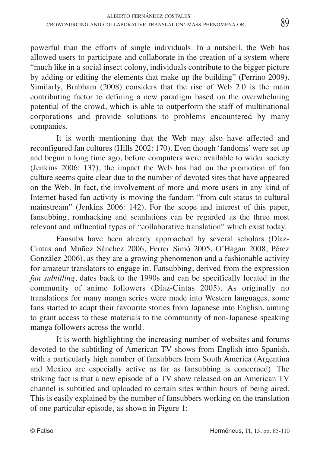powerful than the efforts of single individuals. In a nutshell, the Web has allowed users to participate and collaborate in the creation of a system where "much like in a social insect colony, individuals contribute to the bigger picture by adding or editing the elements that make up the building" (Perrino 2009). Similarly, Brabham (2008) considers that the rise of Web 2.0 is the main contributing factor to defining a new paradigm based on the overwhelming potential of the crowd, which is able to outperform the staff of multinational corporations and provide solutions to problems encountered by many companies.

It is worth mentioning that the Web may also have affected and reconfigured fan cultures (Hills 2002: 170). Even though 'fandoms' were set up and begun a long time ago, before computers were available to wider society (Jenkins 2006: 137), the impact the Web has had on the promotion of fan culture seems quite clear due to the number of devoted sites that have appeared on the Web. In fact, the involvement of more and more users in any kind of Internet-based fan activity is moving the fandom "from cult status to cultural mainstream" (Jenkins 2006: 142). For the scope and interest of this paper, fansubbing, romhacking and scanlations can be regarded as the three most relevant and influential types of "collaborative translation" which exist today.

Fansubs have been already approached by several scholars (Díaz-Cintas and Muñoz Sánchez 2006, Ferrer Simó 2005, O'Hagan 2008, Pérez González 2006), as they are a growing phenomenon and a fashionable activity for amateur translators to engage in. Fansubbing, derived from the expression *fan subtitling*, dates back to the 1990s and can be specifically located in the community of anime followers (Díaz-Cintas 2005). As originally no translations for many manga series were made into Western languages, some fans started to adapt their favourite stories from Japanese into English, aiming to grant access to these materials to the community of non-Japanese speaking manga followers across the world.

It is worth highlighting the increasing number of websites and forums devoted to the subtitling of American TV shows from English into Spanish, with a particularly high number of fansubbers from South America (Argentina and Mexico are especially active as far as fansubbing is concerned). The striking fact is that a new episode of a TV show released on an American TV channel is subtitled and uploaded to certain sites within hours of being aired. This is easily explained by the number of fansubbers working on the translation of one particular episode, as shown in Figure 1: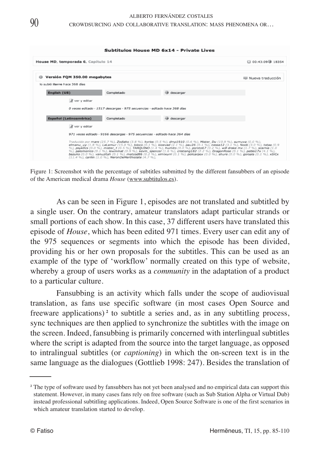| House MD, temporada 6, Capítulo 14                                        |            |                                                                             | $00:43:09 + 18354$ |
|---------------------------------------------------------------------------|------------|-----------------------------------------------------------------------------|--------------------|
| Versión FOM 350.00 megabytes<br>$^{\circ}$                                |            |                                                                             | Nueva traducción   |
| lo subió ilarre hace 368 días                                             |            |                                                                             |                    |
| English (US)                                                              | Completado | descargar                                                                   |                    |
| a ver y editar                                                            |            |                                                                             |                    |
|                                                                           |            |                                                                             |                    |
| 0 veces editado · 1517 descargas · 975 secuencias · editado hace 368 días |            |                                                                             |                    |
| <b>Español (Latinoamérica)</b>                                            | Completado | descargar                                                                   |                    |
| Yer y editar                                                              |            |                                                                             |                    |
|                                                                           |            | 971 veces editado · 9166 descargas · 975 secuencias · editado hace 364 días |                    |

Figure 1: Screenshot with the percentage of subtitles submitted by the different fansubbers of an episode of the American medical drama *House* (www.subtitulos.es).

As can be seen in Figure 1, episodes are not translated and subtitled by a single user. On the contrary, amateur translators adapt particular strands or small portions of each show. In this case, 37 different users have translated this episode of *House*, which has been edited 971 times. Every user can edit any of the 975 sequences or segments into which the episode has been divided, providing his or her own proposals for the subtitles. This can be used as an example of the type of 'workflow' normally created on this type of website, whereby a group of users works as a *community* in the adaptation of a product to a particular culture.

Fansubbing is an activity which falls under the scope of audiovisual translation, as fans use specific software (in most cases Open Source and freeware applications) **<sup>2</sup>** to subtitle a series and, as in any subtitling process, sync techniques are then applied to synchronize the subtitles with the image on the screen. Indeed, fansubbing is primarily concerned with interlingual subtitles where the script is adapted from the source into the target language, as opposed to intralingual subtitles (or *captioning*) in which the on-screen text is in the same language as the dialogues (Gottlieb 1998: 247). Besides the translation of

**<sup>2</sup>** The type of software used by fansubbers has not yet been analysed and no empirical data can support this statement. However, in many cases fans rely on free software (such as Sub Station Alpha or Virtual Dub) instead professional subtitling applications. Indeed, Open Source Software is one of the first scenarios in which amateur translation started to develop.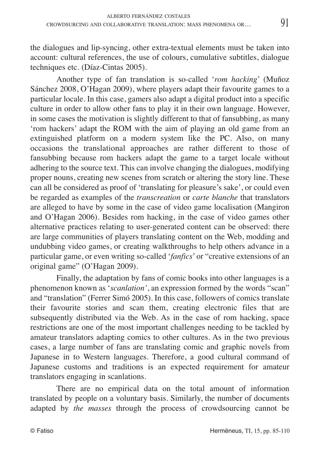the dialogues and lip-syncing, other extra-textual elements must be taken into account: cultural references, the use of colours, cumulative subtitles, dialogue techniques etc. (Díaz-Cintas 2005).

Another type of fan translation is so-called '*rom hacking*' (Muñoz Sánchez 2008, O'Hagan 2009), where players adapt their favourite games to a particular locale. In this case, gamers also adapt a digital product into a specific culture in order to allow other fans to play it in their own language. However, in some cases the motivation is slightly different to that of fansubbing, as many 'rom hackers' adapt the ROM with the aim of playing an old game from an extinguished platform on a modern system like the PC. Also, on many occasions the translational approaches are rather different to those of fansubbing because rom hackers adapt the game to a target locale without adhering to the source text. This can involve changing the dialogues, modifying proper nouns, creating new scenes from scratch or altering the story line. These can all be considered as proof of 'translating for pleasure's sake', or could even be regarded as examples of the *transcreation* or *carte blanche* that translators are alleged to have by some in the case of video game localisation (Mangiron and O'Hagan 2006). Besides rom hacking, in the case of video games other alternative practices relating to user-generated content can be observed: there are large communities of players translating content on the Web, modding and undubbing video games, or creating walkthroughs to help others advance in a particular game, or even writing so-called '*fanfics*' or "creative extensions of an original game" (O'Hagan 2009).

Finally, the adaptation by fans of comic books into other languages is a phenomenon known as '*scanlation'*, an expression formed by the words "scan" and "translation" (Ferrer Simó 2005). In this case, followers of comics translate their favourite stories and scan them, creating electronic files that are subsequently distributed via the Web. As in the case of rom hacking, space restrictions are one of the most important challenges needing to be tackled by amateur translators adapting comics to other cultures. As in the two previous cases, a large number of fans are translating comic and graphic novels from Japanese in to Western languages. Therefore, a good cultural command of Japanese customs and traditions is an expected requirement for amateur translators engaging in scanlations.

There are no empirical data on the total amount of information translated by people on a voluntary basis. Similarly, the number of documents adapted by *the masses* through the process of crowdsourcing cannot be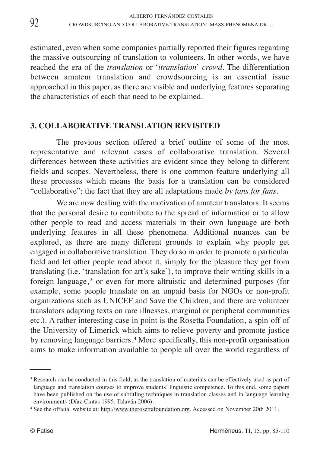estimated, even when some companies partially reported their figures regarding the massive outsourcing of translation to volunteers. In other words, we have reached the era of the *translation* or '*itranslation*' *crowd*. The differentiation between amateur translation and crowdsourcing is an essential issue approached in this paper, as there are visible and underlying features separating the characteristics of each that need to be explained.

### **3. COLLABORATIVE TRANSLATION REVISITED**

The previous section offered a brief outline of some of the most representative and relevant cases of collaborative translation. Several differences between these activities are evident since they belong to different fields and scopes. Nevertheless, there is one common feature underlying all these processes which means the basis for a translation can be considered "collaborative": the fact that they are all adaptations made *by fans for fans*.

We are now dealing with the motivation of amateur translators. It seems that the personal desire to contribute to the spread of information or to allow other people to read and access materials in their own language are both underlying features in all these phenomena. Additional nuances can be explored, as there are many different grounds to explain why people get engaged in collaborative translation. They do so in order to promote a particular field and let other people read about it, simply for the pleasure they get from translating (i.e. 'translation for art's sake'), to improve their writing skills in a foreign language, **<sup>3</sup>** or even for more altruistic and determined purposes (for example, some people translate on an unpaid basis for NGOs or non-profit organizations such as UNICEF and Save the Children, and there are volunteer translators adapting texts on rare illnesses, marginal or peripheral communities etc.). A rather interesting case in point is the Rosetta Foundation, a spin-off of the University of Limerick which aims to relieve poverty and promote justice by removing language barriers. **<sup>4</sup>** More specifically, this non-profit organisation aims to make information available to people all over the world regardless of

**<sup>3</sup>** Research can be conducted in this field, as the translation of materials can be effectively used as part of language and translation courses to improve students' linguistic competence. To this end, some papers have been published on the use of subtitling techniques in translation classes and in language learning environments (Díaz-Cintas 1995, Talaván 2006).

**<sup>4</sup>** See the official website at: http://www.therosettafoundation.org. Accessed on November 20th 2011.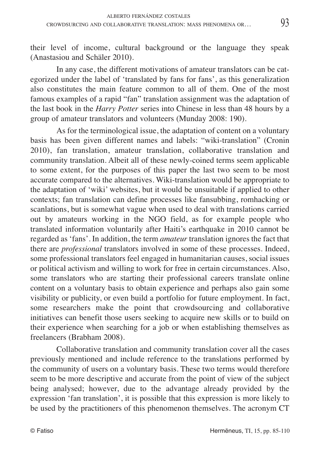their level of income, cultural background or the language they speak (Anastasiou and Schäler 2010).

In any case, the different motivations of amateur translators can be categorized under the label of 'translated by fans for fans', as this generalization also constitutes the main feature common to all of them. One of the most famous examples of a rapid "fan" translation assignment was the adaptation of the last book in the *Harry Potter* series into Chinese in less than 48 hours by a group of amateur translators and volunteers (Munday 2008: 190).

As for the terminological issue, the adaptation of content on a voluntary basis has been given different names and labels: "wiki-translation" (Cronin 2010), fan translation, amateur translation, collaborative translation and community translation. Albeit all of these newly-coined terms seem applicable to some extent, for the purposes of this paper the last two seem to be most accurate compared to the alternatives. Wiki-translation would be appropriate to the adaptation of 'wiki' websites, but it would be unsuitable if applied to other contexts; fan translation can define processes like fansubbing, romhacking or scanlations, but is somewhat vague when used to deal with translations carried out by amateurs working in the NGO field, as for example people who translated information voluntarily after Haiti's earthquake in 2010 cannot be regarded as 'fans'. In addition, the term *amateur* translation ignores the fact that there are *professional* translators involved in some of these processes. Indeed, some professional translators feel engaged in humanitarian causes, social issues or political activism and willing to work for free in certain circumstances. Also, some translators who are starting their professional careers translate online content on a voluntary basis to obtain experience and perhaps also gain some visibility or publicity, or even build a portfolio for future employment. In fact, some researchers make the point that crowdsourcing and collaborative initiatives can benefit those users seeking to acquire new skills or to build on their experience when searching for a job or when establishing themselves as freelancers (Brabham 2008).

Collaborative translation and community translation cover all the cases previously mentioned and include reference to the translations performed by the community of users on a voluntary basis. These two terms would therefore seem to be more descriptive and accurate from the point of view of the subject being analysed; however, due to the advantage already provided by the expression 'fan translation', it is possible that this expression is more likely to be used by the practitioners of this phenomenon themselves. The acronym CT

93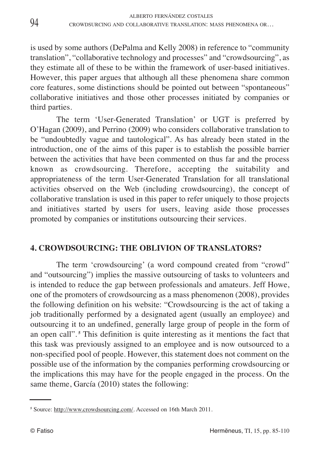is used by some authors (DePalma and Kelly 2008) in reference to "community translation", "collaborative technology and processes" and "crowdsourcing", as they estimate all of these to be within the framework of user-based initiatives. However, this paper argues that although all these phenomena share common core features, some distinctions should be pointed out between "spontaneous" collaborative initiatives and those other processes initiated by companies or third parties.

The term 'User-Generated Translation' or UGT is preferred by O'Hagan (2009), and Perrino (2009) who considers collaborative translation to be "undoubtedly vague and tautological". As has already been stated in the introduction, one of the aims of this paper is to establish the possible barrier between the activities that have been commented on thus far and the process known as crowdsourcing. Therefore, accepting the suitability and appropriateness of the term User-Generated Translation for all translational activities observed on the Web (including crowdsourcing), the concept of collaborative translation is used in this paper to refer uniquely to those projects and initiatives started by users for users, leaving aside those processes promoted by companies or institutions outsourcing their services.

### **4. CROWDSOURCING: THE OBLIVION OF TRANSLATORS?**

The term 'crowdsourcing' (a word compound created from "crowd" and "outsourcing") implies the massive outsourcing of tasks to volunteers and is intended to reduce the gap between professionals and amateurs. Jeff Howe, one of the promoters of crowdsourcing as a mass phenomenon (2008), provides the following definition on his website: "Crowdsourcing is the act of taking a job traditionally performed by a designated agent (usually an employee) and outsourcing it to an undefined, generally large group of people in the form of an open call". **<sup>5</sup>** This definition is quite interesting as it mentions the fact that this task was previously assigned to an employee and is now outsourced to a non-specified pool of people. However, this statement does not comment on the possible use of the information by the companies performing crowdsourcing or the implications this may have for the people engaged in the process. On the same theme, García (2010) states the following:

**<sup>5</sup>** Source: http://www.crowdsourcing.com/. Accessed on 16th March 2011.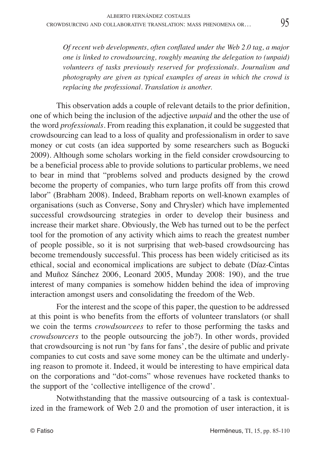*Of recent web developments, often conflated under the Web 2.0 tag, a major one is linked to crowdsourcing, roughly meaning the delegation to (unpaid) volunteers of tasks previously reserved for professionals. Journalism and photography are given as typical examples of areas in which the crowd is replacing the professional. Translation is another.*

This observation adds a couple of relevant details to the prior definition, one of which being the inclusion of the adjective *unpaid* and the other the use of the word *professionals*. From reading this explanation, it could be suggested that crowdsourcing can lead to a loss of quality and professionalism in order to save money or cut costs (an idea supported by some researchers such as Bogucki 2009). Although some scholars working in the field consider crowdsourcing to be a beneficial process able to provide solutions to particular problems, we need to bear in mind that "problems solved and products designed by the crowd become the property of companies, who turn large profits off from this crowd labor" (Brabham 2008). Indeed, Brabham reports on well-known examples of organisations (such as Converse, Sony and Chrysler) which have implemented successful crowdsourcing strategies in order to develop their business and increase their market share. Obviously, the Web has turned out to be the perfect tool for the promotion of any activity which aims to reach the greatest number of people possible, so it is not surprising that web-based crowdsourcing has become tremendously successful. This process has been widely criticised as its ethical, social and economical implications are subject to debate (Díaz-Cintas and Muñoz Sánchez 2006, Leonard 2005, Munday 2008: 190), and the true interest of many companies is somehow hidden behind the idea of improving interaction amongst users and consolidating the freedom of the Web.

For the interest and the scope of this paper, the question to be addressed at this point is who benefits from the efforts of volunteer translators (or shall we coin the terms *crowdsourcees* to refer to those performing the tasks and *crowdsourcers* to the people outsourcing the job?). In other words, provided that crowdsourcing is not run 'by fans for fans', the desire of public and private companies to cut costs and save some money can be the ultimate and underlying reason to promote it. Indeed, it would be interesting to have empirical data on the corporations and "dot-coms" whose revenues have rocketed thanks to the support of the 'collective intelligence of the crowd'.

Notwithstanding that the massive outsourcing of a task is contextualized in the framework of Web 2.0 and the promotion of user interaction, it is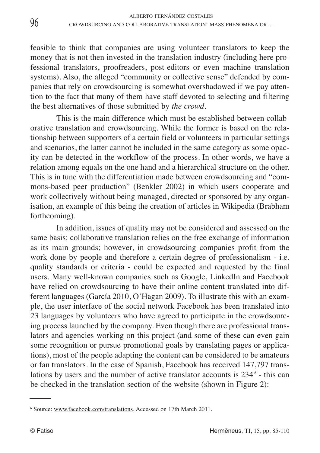feasible to think that companies are using volunteer translators to keep the money that is not then invested in the translation industry (including here professional translators, proofreaders, post-editors or even machine translation systems). Also, the alleged "community or collective sense" defended by companies that rely on crowdsourcing is somewhat overshadowed if we pay attention to the fact that many of them have staff devoted to selecting and filtering the best alternatives of those submitted by *the crowd.*

This is the main difference which must be established between collaborative translation and crowdsourcing. While the former is based on the relationship between supporters of a certain field or volunteers in particular settings and scenarios, the latter cannot be included in the same category as some opacity can be detected in the workflow of the process. In other words, we have a relation among equals on the one hand and a hierarchical structure on the other. This is in tune with the differentiation made between crowdsourcing and "commons-based peer production" (Benkler 2002) in which users cooperate and work collectively without being managed, directed or sponsored by any organisation, an example of this being the creation of articles in Wikipedia (Brabham forthcoming).

In addition, issues of quality may not be considered and assessed on the same basis: collaborative translation relies on the free exchange of information as its main grounds; however, in crowdsourcing companies profit from the work done by people and therefore a certain degree of professionalism - i.e. quality standards or criteria - could be expected and requested by the final users. Many well-known companies such as Google, LinkedIn and Facebook have relied on crowdsourcing to have their online content translated into different languages (García 2010, O'Hagan 2009). To illustrate this with an example, the user interface of the social network Facebook has been translated into 23 languages by volunteers who have agreed to participate in the crowdsourcing process launched by the company. Even though there are professional translators and agencies working on this project (and some of these can even gain some recognition or pursue promotional goals by translating pages or applications), most of the people adapting the content can be considered to be amateurs or fan translators. In the case of Spanish, Facebook has received 147,797 translations by users and the number of active translator accounts is 234 **<sup>6</sup>** - this can be checked in the translation section of the website (shown in Figure 2):

**<sup>6</sup>** Source: www.facebook.com/translations. Accessed on 17th March 2011.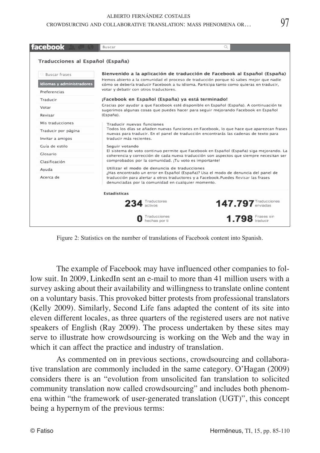#### ALBERTO FERNÁNDEZ COSTALES CROWDSURCING AND COLLABORATIVE TRANSLATION: MASS PHENOMENA OR*…*

| facebook                         | <b>Buscar</b>                                                                                                                                                                    |                                                                                                                                                                                    |  |  |
|----------------------------------|----------------------------------------------------------------------------------------------------------------------------------------------------------------------------------|------------------------------------------------------------------------------------------------------------------------------------------------------------------------------------|--|--|
| Traducciones al Español (España) |                                                                                                                                                                                  |                                                                                                                                                                                    |  |  |
| <b>Buscar frases</b>             |                                                                                                                                                                                  | Bienvenido a la aplicación de traducción de Facebook al Español (España)                                                                                                           |  |  |
| Idiomas y administradores        |                                                                                                                                                                                  | Hemos abierto a la comunidad el proceso de traducción porque tú sabes mejor que nadie<br>cómo se debería traducir Facebook a tu idioma. Participa tanto como quieras en traducir,  |  |  |
| Preferencias                     | votar y debatir con otros traductores.                                                                                                                                           |                                                                                                                                                                                    |  |  |
| Traducir                         | ¡Facebook en Español (España) ya está terminado!                                                                                                                                 |                                                                                                                                                                                    |  |  |
| Votar                            |                                                                                                                                                                                  | Gracias por ayudar a que Facebook esté disponible en Español (España). A continuación te<br>sugerimos algunas cosas que puedes hacer para seguir mejorando Facebook en Español     |  |  |
| Revisar                          | (España).                                                                                                                                                                        |                                                                                                                                                                                    |  |  |
| Mis traducciones                 | Traducir nuevas funciones                                                                                                                                                        |                                                                                                                                                                                    |  |  |
| Traducir por página              | Todos los días se añaden nuevas funciones en Facebook, lo que hace que aparezcan frases<br>nuevas para traducir. En el panel de traducción encontrarás las cadenas de texto para |                                                                                                                                                                                    |  |  |
| Invitar a amigos                 | traducir más recientes.                                                                                                                                                          |                                                                                                                                                                                    |  |  |
| Guía de estilo                   | Seguir votando                                                                                                                                                                   |                                                                                                                                                                                    |  |  |
| Glosario                         |                                                                                                                                                                                  | El sistema de voto continuo permite que Facebook en Español (España) siga mejorando. La<br>coherencia y corrección de cada nueva traducción son aspectos que siempre necesitan ser |  |  |
| Clasificación                    | comprobados por la comunidad. ¡Tu voto es importante!                                                                                                                            |                                                                                                                                                                                    |  |  |
| Avuda                            | Utilizar el modo de denuncia de traducciones                                                                                                                                     | ¿Has encontrado un error en Español (España)? Usa el modo de denuncia del panel de                                                                                                 |  |  |
| Acerca de                        | traducción para alertar a otros traductores y a Facebook.Puedes Revisar las frases<br>denunciadas por la comunidad en cualquier momento.                                         |                                                                                                                                                                                    |  |  |
|                                  | <b>Estadísticas</b>                                                                                                                                                              |                                                                                                                                                                                    |  |  |
|                                  | 234 Traductores                                                                                                                                                                  | 147.797 Traducciones                                                                                                                                                               |  |  |
|                                  | Traducciones<br>hechas por ti                                                                                                                                                    | $1.798$ Frases sin                                                                                                                                                                 |  |  |

Figure 2: Statistics on the number of translations of Facebook content into Spanish.

The example of Facebook may have influenced other companies to follow suit. In 2009, LinkedIn sent an e-mail to more than 41 million users with a survey asking about their availability and willingness to translate online content on a voluntary basis. This provoked bitter protests from professional translators (Kelly 2009). Similarly, Second Life fans adapted the content of its site into eleven different locales, as three quarters of the registered users are not native speakers of English (Ray 2009). The process undertaken by these sites may serve to illustrate how crowdsourcing is working on the Web and the way in which it can affect the practice and industry of translation.

As commented on in previous sections, crowdsourcing and collaborative translation are commonly included in the same category. O'Hagan (2009) considers there is an "evolution from unsolicited fan translation to solicited community translation now called crowdsourcing" and includes both phenomena within "the framework of user-generated translation (UGT)", this concept being a hypernym of the previous terms: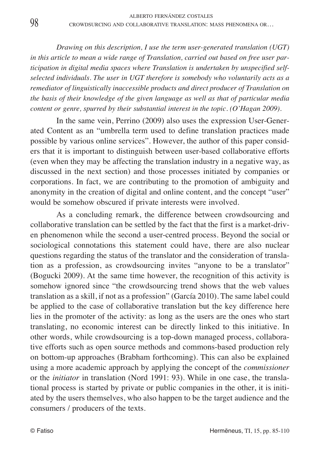*Drawing on this description, I use the term user-generated translation (UGT) in this article to mean a wide range of Translation, carried out based on free user participation in digital media spaces where Translation is undertaken by unspecified selfselected individuals. The user in UGT therefore is somebody who voluntarily acts as a remediator of linguistically inaccessible products and direct producer of Translation on the basis of their knowledge of the given language as well as that of particular media content or genre, spurred by their substantial interest in the topic. (O'Hagan 2009).*

In the same vein, Perrino (2009) also uses the expression User-Generated Content as an "umbrella term used to define translation practices made possible by various online services". However, the author of this paper considers that it is important to distinguish between user-based collaborative efforts (even when they may be affecting the translation industry in a negative way, as discussed in the next section) and those processes initiated by companies or corporations. In fact, we are contributing to the promotion of ambiguity and anonymity in the creation of digital and online content, and the concept "user" would be somehow obscured if private interests were involved.

As a concluding remark, the difference between crowdsourcing and collaborative translation can be settled by the fact that the first is a market-driven phenomenon while the second a user-centred process. Beyond the social or sociological connotations this statement could have, there are also nuclear questions regarding the status of the translator and the consideration of translation as a profession, as crowdsourcing invites "anyone to be a translator" (Bogucki 2009). At the same time however, the recognition of this activity is somehow ignored since "the crowdsourcing trend shows that the web values translation as a skill, if not as a profession" (García 2010). The same label could be applied to the case of collaborative translation but the key difference here lies in the promoter of the activity: as long as the users are the ones who start translating, no economic interest can be directly linked to this initiative. In other words, while crowdsourcing is a top-down managed process, collaborative efforts such as open source methods and commons-based production rely on bottom-up approaches (Brabham forthcoming). This can also be explained using a more academic approach by applying the concept of the *commissioner* or the *initiator* in translation (Nord 1991: 93). While in one case, the translational process is started by private or public companies in the other, it is initiated by the users themselves, who also happen to be the target audience and the consumers / producers of the texts.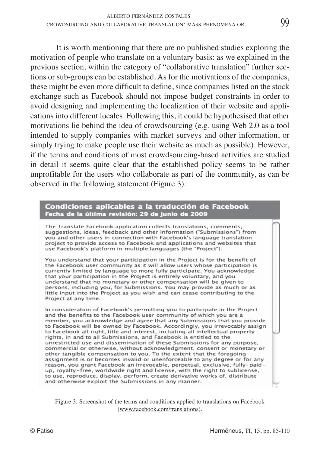It is worth mentioning that there are no published studies exploring the motivation of people who translate on a voluntary basis: as we explained in the previous section, within the category of "collaborative translation" further sections or sub-groups can be established. As for the motivations of the companies, these might be even more difficult to define, since companies listed on the stock exchange such as Facebook should not impose budget constraints in order to avoid designing and implementing the localization of their website and applications into different locales. Following this, it could be hypothesised that other motivations lie behind the idea of crowdsourcing (e.g. using Web 2.0 as a tool intended to supply companies with market surveys and other information, or simply trying to make people use their website as much as possible). However, if the terms and conditions of most crowdsourcing-based activities are studied in detail it seems quite clear that the established policy seems to be rather unprofitable for the users who collaborate as part of the community, as can be observed in the following statement (Figure 3):

### Condiciones aplicables a la traducción de Facebook Fecha de la última revisión: 29 de junio de 2009

The Translate Facebook application collects translations, comments, suggestions, ideas, feedback and other information ("Submissions") from you and other users in connection with Facebook's language translation project to provide access to Facebook and applications and websites that use Facebook's platform in multiple languages (the "Project").

You understand that your participation in the Project is for the benefit of the Facebook user community as it will allow users whose participation is currently limited by language to more fully participate. You acknowledge that your participation in the Project is entirely voluntary, and you understand that no monetary or other compensation will be given to persons, including you, for Submissions. You may provide as much or as little input into the Project as you wish and can cease contributing to the Project at any time.

In consideration of Facebook's permitting you to participate in the Project and the benefits to the Facebook user community of which you are a member, you acknowledge and agree that any Submissions that you provide to Facebook will be owned by Facebook. Accordingly, you irrevocably assign to Facebook all right, title and interest, including all intellectual property rights, in and to all Submissions, and Facebook is entitled to the unrestricted use and dissemination of these Submissions for any purpose, commercial or otherwise, without acknowledgment, consent or monetary or other tangible compensation to you. To the extent that the foregoing assignment is or becomes invalid or unenforceable to any degree or for any reason, you grant Facebook an irrevocable, perpetual, exclusive, fully-paidup, royalty-free, worldwide right and license, with the right to sublicense, to use, reproduce, display, perform, create derivative works of, distribute and otherwise exploit the Submissions in any manner.

Figure 3: Screenshot of the terms and conditions applied to translations on Facebook (www.facebook.com/translations).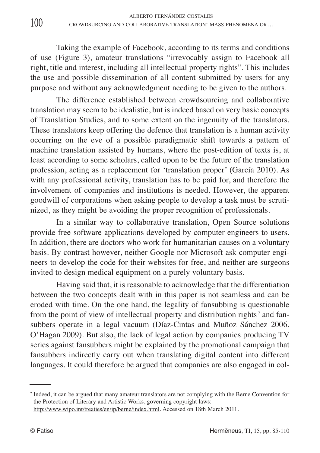Taking the example of Facebook, according to its terms and conditions of use (Figure 3), amateur translations "irrevocably assign to Facebook all right, title and interest, including all intellectual property rights". This includes the use and possible dissemination of all content submitted by users for any purpose and without any acknowledgment needing to be given to the authors.

The difference established between crowdsourcing and collaborative translation may seem to be idealistic, but is indeed based on very basic concepts of Translation Studies, and to some extent on the ingenuity of the translators. These translators keep offering the defence that translation is a human activity occurring on the eve of a possible paradigmatic shift towards a pattern of machine translation assisted by humans, where the post-edition of texts is, at least according to some scholars, called upon to be the future of the translation profession, acting as a replacement for 'translation proper' (García 2010). As with any professional activity, translation has to be paid for, and therefore the involvement of companies and institutions is needed. However, the apparent goodwill of corporations when asking people to develop a task must be scrutinized, as they might be avoiding the proper recognition of professionals.

In a similar way to collaborative translation, Open Source solutions provide free software applications developed by computer engineers to users. In addition, there are doctors who work for humanitarian causes on a voluntary basis. By contrast however, neither Google nor Microsoft ask computer engineers to develop the code for their websites for free, and neither are surgeons invited to design medical equipment on a purely voluntary basis.

Having said that, it is reasonable to acknowledge that the differentiation between the two concepts dealt with in this paper is not seamless and can be eroded with time. On the one hand, the legality of fansubbing is questionable from the point of view of intellectual property and distribution rights **<sup>7</sup>** and fansubbers operate in a legal vacuum (Díaz-Cintas and Muñoz Sánchez 2006, O'Hagan 2009). But also, the lack of legal action by companies producing TV series against fansubbers might be explained by the promotional campaign that fansubbers indirectly carry out when translating digital content into different languages. It could therefore be argued that companies are also engaged in col-

**<sup>7</sup>** Indeed, it can be argued that many amateur translators are not complying with the Berne Convention for the Protection of Literary and Artistic Works, governing copyright laws:

http://www.wipo.int/treaties/en/ip/berne/index.html. Accessed on 18th March 2011.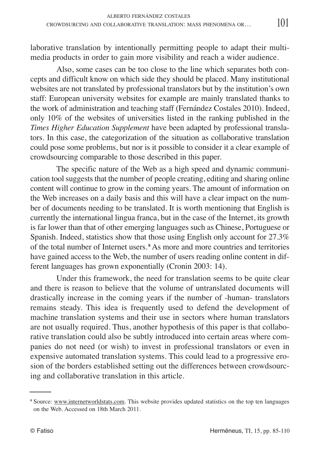laborative translation by intentionally permitting people to adapt their multimedia products in order to gain more visibility and reach a wider audience.

Also, some cases can be too close to the line which separates both concepts and difficult know on which side they should be placed. Many institutional websites are not translated by professional translators but by the institution's own staff: European university websites for example are mainly translated thanks to the work of administration and teaching staff (Fernández Costales 2010). Indeed, only 10% of the websites of universities listed in the ranking published in the *Times Higher Education Supplement* have been adapted by professional translators. In this case, the categorization of the situation as collaborative translation could pose some problems, but nor is it possible to consider it a clear example of crowdsourcing comparable to those described in this paper.

The specific nature of the Web as a high speed and dynamic communication tool suggests that the number of people creating, editing and sharing online content will continue to grow in the coming years. The amount of information on the Web increases on a daily basis and this will have a clear impact on the number of documents needing to be translated. It is worth mentioning that English is currently the international lingua franca, but in the case of the Internet, its growth is far lower than that of other emerging languages such as Chinese, Portuguese or Spanish. Indeed, statistics show that those using English only account for 27.3% of the total number of Internet users. **<sup>8</sup>** As more and more countries and territories have gained access to the Web, the number of users reading online content in different languages has grown exponentially (Cronin 2003: 14).

Under this framework, the need for translation seems to be quite clear and there is reason to believe that the volume of untranslated documents will drastically increase in the coming years if the number of -human- translators remains steady. This idea is frequently used to defend the development of machine translation systems and their use in sectors where human translators are not usually required. Thus, another hypothesis of this paper is that collaborative translation could also be subtly introduced into certain areas where companies do not need (or wish) to invest in professional translators or even in expensive automated translation systems. This could lead to a progressive erosion of the borders established setting out the differences between crowdsourcing and collaborative translation in this article.

**<sup>8</sup>** Source: www.internetworldstats.com. This website provides updated statistics on the top ten languages on the Web. Accessed on 18th March 2011.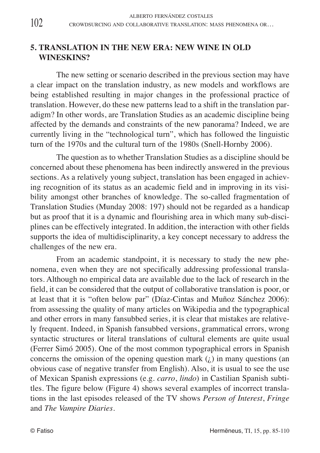## **5. TRANSLATION IN THE NEW ERA: NEW WINE IN OLD WINESKINS?**

The new setting or scenario described in the previous section may have a clear impact on the translation industry, as new models and workflows are being established resulting in major changes in the professional practice of translation. However, do these new patterns lead to a shift in the translation paradigm? In other words, are Translation Studies as an academic discipline being affected by the demands and constraints of the new panorama? Indeed, we are currently living in the "technological turn", which has followed the linguistic turn of the 1970s and the cultural turn of the 1980s (Snell-Hornby 2006).

The question as to whether Translation Studies as a discipline should be concerned about these phenomena has been indirectly answered in the previous sections. As a relatively young subject, translation has been engaged in achieving recognition of its status as an academic field and in improving in its visibility amongst other branches of knowledge. The so-called fragmentation of Translation Studies (Munday 2008: 197) should not be regarded as a handicap but as proof that it is a dynamic and flourishing area in which many sub-disciplines can be effectively integrated. In addition, the interaction with other fields supports the idea of multidisciplinarity, a key concept necessary to address the challenges of the new era.

From an academic standpoint, it is necessary to study the new phenomena, even when they are not specifically addressing professional translators. Although no empirical data are available due to the lack of research in the field, it can be considered that the output of collaborative translation is poor, or at least that it is "often below par" (Díaz-Cintas and Muñoz Sánchez 2006): from assessing the quality of many articles on Wikipedia and the typographical and other errors in many fansubbed series, it is clear that mistakes are relatively frequent. Indeed, in Spanish fansubbed versions, grammatical errors, wrong syntactic structures or literal translations of cultural elements are quite usual (Ferrer Simó 2005). One of the most common typographical errors in Spanish concerns the omission of the opening question mark  $(j)$  in many questions (an obvious case of negative transfer from English). Also, it is usual to see the use of Mexican Spanish expressions (e.g. *carro*, *lindo*) in Castilian Spanish subtitles. The figure below (Figure 4) shows several examples of incorrect translations in the last episodes released of the TV shows *Person of Interest*, *Fringe* and *The Vampire Diaries*.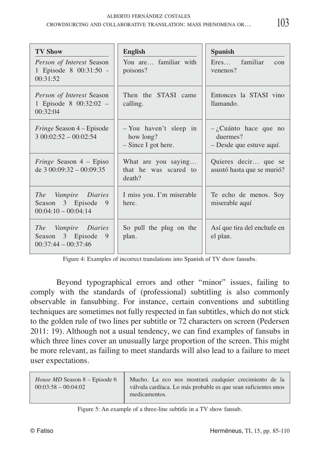| <b>TV Show</b><br>Person of Interest Season<br>1 Episode 8 00:31:50 -<br>00:31:52 | <b>English</b><br>You are familiar with<br>poisons?        | <b>Spanish</b><br>Eres familiar<br>con<br>venenos?              |
|-----------------------------------------------------------------------------------|------------------------------------------------------------|-----------------------------------------------------------------|
| Person of Interest Season<br>1 Episode 8 00:32:02 -<br>00:32:04                   | Then the STASI came<br>calling.                            | Entonces la STASI vino<br>llamando.                             |
| <i>Fringe</i> Season 4 – Episode<br>$300:02:52 - 00:02:54$                        | - You haven't sleep in<br>how long?<br>- Since I got here. | $-i$ Cuánto hace que no<br>duermes?<br>- Desde que estuve aquí. |
| <i>Fringe</i> Season $4$ – Episo<br>de $3\,00:09:32 - 00:09:35$                   | What are you saying<br>that he was scared to<br>death?     | Quieres decir que se<br>asustó hasta que se murió?              |
| The Vampire Diaries<br>Season 3 Episode<br>9<br>$00:04:10 - 00:04:14$             | I miss you. I'm miserable<br>here.                         | Te echo de menos. Soy<br>miserable aquí                         |
| The Vampire Diaries<br>Season 3 Episode<br>9<br>$00:37:44 - 00:37:46$             | So pull the plug on the<br>plan.                           | Así que tira del enchufe en<br>el plan.                         |

Figure 4: Examples of incorrect translations into Spanish of TV show fansubs.

Beyond typographical errors and other "minor" issues, failing to comply with the standards of (professional) subtitling is also commonly observable in fansubbing. For instance, certain conventions and subtitling techniques are sometimes not fully respected in fan subtitles, which do not stick to the golden rule of two lines per subtitle or 72 characters on screen (Pedersen 2011: 19). Although not a usual tendency, we can find examples of fansubs in which three lines cover an unusually large proportion of the screen. This might be more relevant, as failing to meet standards will also lead to a failure to meet user expectations.

| Mucho. La eco nos mostrará cualquier crecimiento de la<br>válvula cardíaca. Lo más probable es que sean suficientes unos<br>medicamentos. |
|-------------------------------------------------------------------------------------------------------------------------------------------|
|                                                                                                                                           |

### Figure 5: An example of a three-line subtitle in a TV show fansub.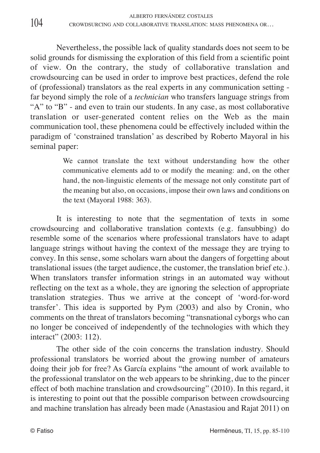Nevertheless, the possible lack of quality standards does not seem to be solid grounds for dismissing the exploration of this field from a scientific point of view. On the contrary, the study of collaborative translation and crowdsourcing can be used in order to improve best practices, defend the role of (professional) translators as the real experts in any communication setting far beyond simply the role of a *technician* who transfers language strings from "A" to "B" - and even to train our students. In any case, as most collaborative translation or user-generated content relies on the Web as the main communication tool, these phenomena could be effectively included within the paradigm of 'constrained translation' as described by Roberto Mayoral in his seminal paper:

> We cannot translate the text without understanding how the other communicative elements add to or modify the meaning: and, on the other hand, the non-linguistic elements of the message not only constitute part of the meaning but also, on occasions, impose their own laws and conditions on the text (Mayoral 1988: 363).

It is interesting to note that the segmentation of texts in some crowdsourcing and collaborative translation contexts (e.g. fansubbing) do resemble some of the scenarios where professional translators have to adapt language strings without having the context of the message they are trying to convey. In this sense, some scholars warn about the dangers of forgetting about translational issues (the target audience, the customer, the translation brief etc.). When translators transfer information strings in an automated way without reflecting on the text as a whole, they are ignoring the selection of appropriate translation strategies. Thus we arrive at the concept of 'word-for-word transfer'. This idea is supported by Pym (2003) and also by Cronin, who comments on the threat of translators becoming "transnational cyborgs who can no longer be conceived of independently of the technologies with which they interact" (2003: 112).

The other side of the coin concerns the translation industry. Should professional translators be worried about the growing number of amateurs doing their job for free? As García explains "the amount of work available to the professional translator on the web appears to be shrinking, due to the pincer effect of both machine translation and crowdsourcing" (2010). In this regard, it is interesting to point out that the possible comparison between crowdsourcing and machine translation has already been made (Anastasiou and Rajat 2011) on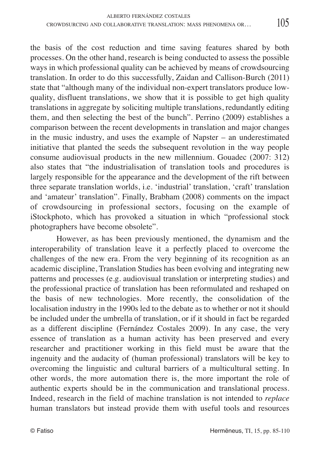the basis of the cost reduction and time saving features shared by both processes. On the other hand, research is being conducted to assess the possible ways in which professional quality can be achieved by means of crowdsourcing translation. In order to do this successfully, Zaidan and Callison-Burch (2011) state that "although many of the individual non-expert translators produce lowquality, disfluent translations, we show that it is possible to get high quality translations in aggregate by soliciting multiple translations, redundantly editing them, and then selecting the best of the bunch". Perrino (2009) establishes a comparison between the recent developments in translation and major changes in the music industry, and uses the example of Napster – an underestimated initiative that planted the seeds the subsequent revolution in the way people consume audiovisual products in the new millennium. Gouadec (2007: 312) also states that "the industrialisation of translation tools and procedures is largely responsible for the appearance and the development of the rift between three separate translation worlds, i.e. 'industrial' translation, 'craft' translation and 'amateur' translation". Finally, Brabham (2008) comments on the impact of crowdsourcing in professional sectors, focusing on the example of iStockphoto, which has provoked a situation in which "professional stock photographers have become obsolete".

However, as has been previously mentioned, the dynamism and the interoperability of translation leave it a perfectly placed to overcome the challenges of the new era. From the very beginning of its recognition as an academic discipline, Translation Studies has been evolving and integrating new patterns and processes (e.g. audiovisual translation or interpreting studies) and the professional practice of translation has been reformulated and reshaped on the basis of new technologies. More recently, the consolidation of the localisation industry in the 1990s led to the debate as to whether or not it should be included under the umbrella of translation, or if it should in fact be regarded as a different discipline (Fernández Costales 2009). In any case, the very essence of translation as a human activity has been preserved and every researcher and practitioner working in this field must be aware that the ingenuity and the audacity of (human professional) translators will be key to overcoming the linguistic and cultural barriers of a multicultural setting. In other words, the more automation there is, the more important the role of authentic experts should be in the communication and translational process. Indeed, research in the field of machine translation is not intended to *replace* human translators but instead provide them with useful tools and resources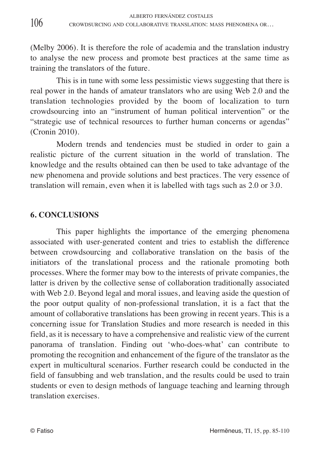(Melby 2006). It is therefore the role of academia and the translation industry to analyse the new process and promote best practices at the same time as training the translators of the future.

This is in tune with some less pessimistic views suggesting that there is real power in the hands of amateur translators who are using Web 2.0 and the translation technologies provided by the boom of localization to turn crowdsourcing into an "instrument of human political intervention" or the "strategic use of technical resources to further human concerns or agendas" (Cronin 2010).

Modern trends and tendencies must be studied in order to gain a realistic picture of the current situation in the world of translation. The knowledge and the results obtained can then be used to take advantage of the new phenomena and provide solutions and best practices. The very essence of translation will remain, even when it is labelled with tags such as 2.0 or 3.0.

## **6. CONCLUSIONS**

This paper highlights the importance of the emerging phenomena associated with user-generated content and tries to establish the difference between crowdsourcing and collaborative translation on the basis of the initiators of the translational process and the rationale promoting both processes. Where the former may bow to the interests of private companies, the latter is driven by the collective sense of collaboration traditionally associated with Web 2.0. Beyond legal and moral issues, and leaving aside the question of the poor output quality of non-professional translation, it is a fact that the amount of collaborative translations has been growing in recent years. This is a concerning issue for Translation Studies and more research is needed in this field, as it is necessary to have a comprehensive and realistic view of the current panorama of translation. Finding out 'who-does-what' can contribute to promoting the recognition and enhancement of the figure of the translator as the expert in multicultural scenarios. Further research could be conducted in the field of fansubbing and web translation, and the results could be used to train students or even to design methods of language teaching and learning through translation exercises.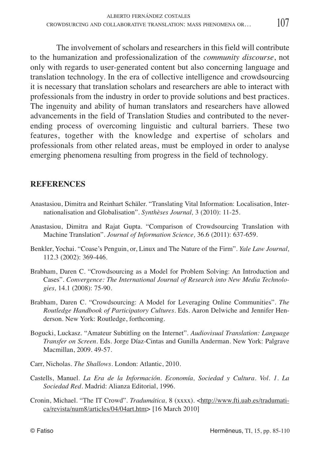The involvement of scholars and researchers in this field will contribute to the humanization and professionalization of the *community discourse*, not only with regards to user-generated content but also concerning language and translation technology. In the era of collective intelligence and crowdsourcing it is necessary that translation scholars and researchers are able to interact with professionals from the industry in order to provide solutions and best practices.

The ingenuity and ability of human translators and researchers have allowed advancements in the field of Translation Studies and contributed to the neverending process of overcoming linguistic and cultural barriers. These two features, together with the knowledge and expertise of scholars and professionals from other related areas, must be employed in order to analyse emerging phenomena resulting from progress in the field of technology.

### **REFERENCES**

- Anastasiou, Dimitra and Reinhart Schäler. "Translating Vital Information: Localisation, Internationalisation and Globalisation". *Synthèses Journal,* 3 (2010): 11-25.
- Anastasiou, Dimitra and Rajat Gupta. "Comparison of Crowdsourcing Translation with Machine Translation". *Journal of Information Science,* 36.6 (2011): 637-659.
- Benkler, Yochai. "Coase's Penguin, or, Linux and The Nature of the Firm". *Yale Law Journal,* 112.3 (2002): 369-446.
- Brabham, Daren C. "Crowdsourcing as a Model for Problem Solving: An Introduction and Cases". *Convergence: The International Journal of Research into New Media Technologies,* 14.1 (2008): 75-90.
- Brabham, Daren C. "Crowdsourcing: A Model for Leveraging Online Communities". *The Routledge Handbook of Participatory Cultures.* Eds. Aaron Delwiche and Jennifer Henderson. New York: Routledge, forthcoming.
- Bogucki, Luckasz. "Amateur Subtitling on the Internet". *Audiovisual Translation: Language Transfer on Screen*. Eds. Jorge Díaz-Cintas and Gunilla Anderman. New York: Palgrave Macmillan, 2009. 49-57.
- Carr, Nicholas. *The Shallows*. London: Atlantic, 2010.
- Castells, Manuel. *La Era de la Información. Economía, Sociedad y Cultura. Vol. 1. La Sociedad Red.* Madrid: Alianza Editorial, 1996.
- Cronin, Michael. "The IT Crowd". *Tradumática*, 8 (xxxx). <http://www.fti.uab.es/tradumatica/revista/num8/articles/04/04art.htm> [16 March 2010]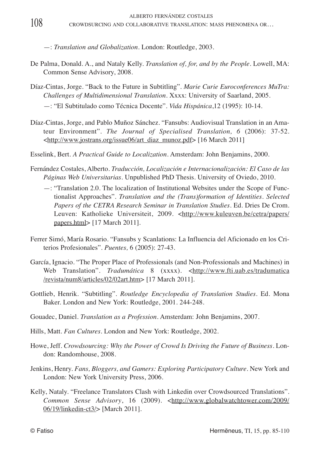—: *Translation and Globalization*. London: Routledge, 2003.

- De Palma, Donald. A., and Nataly Kelly. *Translation of, for, and by the People*. Lowell, MA: Common Sense Advisory, 2008.
- Díaz-Cintas, Jorge. "Back to the Future in Subtitling". *Marie Curie Euroconferences MuTra: Challenges of Multidimensional Translation*. Xxxx: University of Saarland, 2005.
	- —: "El Subtitulado como Técnica Docente". *Vida Hispánica*,12 (1995): 10-14.
- Díaz-Cintas, Jorge, and Pablo Muñoz Sánchez. "Fansubs: Audiovisual Translation in an Amateur Environment". *The Journal of Specialised Translation, 6* (2006): 37-52. <http://www.jostrans.org/issue06/art\_diaz\_munoz.pdf> [16 March 2011]
- Esselink, Bert. *A Practical Guide to Localization*. Amsterdam: John Benjamins, 2000.
- Fernández Costales, Alberto. *Traducción, Localización e Internacionalización: El Caso de las Páginas Web Universitarias*. Unpublished PhD Thesis. University of Oviedo, 2010.
	- —: "Translation 2.0. The localization of Institutional Websites under the Scope of Functionalist Approaches". *Translation and the (Trans)formation of Identities*. *Selected Papers of the CETRA Research Seminar in Translation Studies.* Ed. Dries De Crom. Leuven: Katholieke Universiteit, 2009. <http://www.kuleuven.be/cetra/papers/ papers.html> [17 March 2011].
- Ferrer Simó, María Rosario. "Fansubs y Scanlations: La Influencia del Aficionado en los Criterios Profesionales". *Puentes,* 6 (2005): 27-43.
- García, Ignacio. "The Proper Place of Professionals (and Non-Professionals and Machines) in Web Translation". *Tradumática* 8 (xxxx). <http://www.fti.uab.es/tradumatica /revista/num8/articles/02/02art.htm> [17 March 2011].
- Gottlieb, Henrik. "Subtitling". *Routledge Encyclopedia of Translation Studies.* Ed. Mona Baker. London and New York: Routledge, 2001. 244-248.
- Gouadec, Daniel. *Translation as a Profession*. Amsterdam: John Benjamins, 2007.
- Hills, Matt. *Fan Cultures*. London and New York: Routledge, 2002.
- Howe, Jeff. *Crowdsourcing: Why the Power of Crowd Is Driving the Future of Business*. London: Randomhouse, 2008.
- Jenkins, Henry. *Fans, Bloggers, and Gamers: Exploring Participatory Culture*. New York and London: New York University Press, 2006.
- Kelly, Nataly. "Freelance Translators Clash with Linkedin over Crowdsourced Translations". *Common Sense Advisory*, 16 (2009). <http://www.globalwatchtower.com/2009/ 06/19/linkedin-ct3/> [March 2011].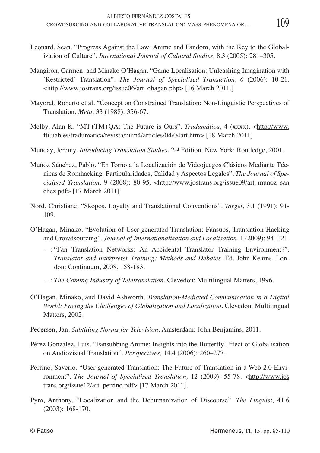- Leonard, Sean. "Progress Against the Law: Anime and Fandom, with the Key to the Globalization of Culture". *International Journal of Cultural Studies,* 8.3 (2005): 281–305.
- Mangiron, Carmen, and Minako O'Hagan. "Game Localisation: Unleashing Imagination with ´Restricted´ Translation". *The Journal of Specialised Translation, 6* (2006): 10-21. <http://www.jostrans.org/issue06/art\_ohagan.php> [16 March 2011.]
- Mayoral, Roberto et al. "Concept on Constrained Translation: Non-Linguistic Perspectives of Translation. *Meta,* 33 (1988): 356-67.
- Melby, Alan K. "MT+TM+QA: The Future is Ours". *Tradumática,* 4 (xxxx). <http://www. fti.uab.es/tradumatica/revista/num4/articles/04/04art.htm> [18 March 2011]
- Munday, Jeremy. *Introducing Translation Studies*. 2nd Edition. New York: Routledge, 2001.
- Muñoz Sánchez, Pablo. "En Torno a la Localización de Videojuegos Clásicos Mediante Técnicas de Romhacking: Particularidades, Calidad y Aspectos Legales". *The Journal of Specialised Translation,* 9 (2008): 80-95. <http://www.jostrans.org/issue09/art\_munoz\_san chez.pdf> [17 March 2011]
- Nord, Christiane. "Skopos, Loyalty and Translational Conventions". *Target,* 3.1 (1991): 91- 109.
- O'Hagan, Minako. "Evolution of User-generated Translation: Fansubs, Translation Hacking and Crowdsourcing". *Journal of Internationalisation and Localisation,* 1 (2009): 94–121.
	- —: "Fan Translation Networks: An Accidental Translator Training Environment?". *Translator and Interpreter Training: Methods and Debates*. Ed. John Kearns. London: Continuum, 2008. 158-183.
	- —: *The Coming Industry of Teletranslation*. Clevedon: Multilingual Matters, 1996.
- O'Hagan, Minako, and David Ashworth. *Translation-Mediated Communication in a Digital World: Facing the Challenges of Globalization and Localization*. Clevedon: Multilingual Matters, 2002.
- Pedersen, Jan. *Subtitling Norms for Television*. Amsterdam: John Benjamins, 2011.
- Pérez González, Luis. "Fansubbing Anime: Insights into the Butterfly Effect of Globalisation on Audiovisual Translation". *Perspectives,* 14.4 (2006): 260–277.
- Perrino, Saverio. "User-generated Translation: The Future of Translation in a Web 2.0 Environment". *The Journal of Specialised Translation*, 12 (2009): 55-78. <http://www.jos trans.org/issue12/art\_perrino.pdf> [17 March 2011].
- Pym, Anthony. "Localization and the Dehumanization of Discourse". *The Linguist,* 41.6 (2003): 168-170.